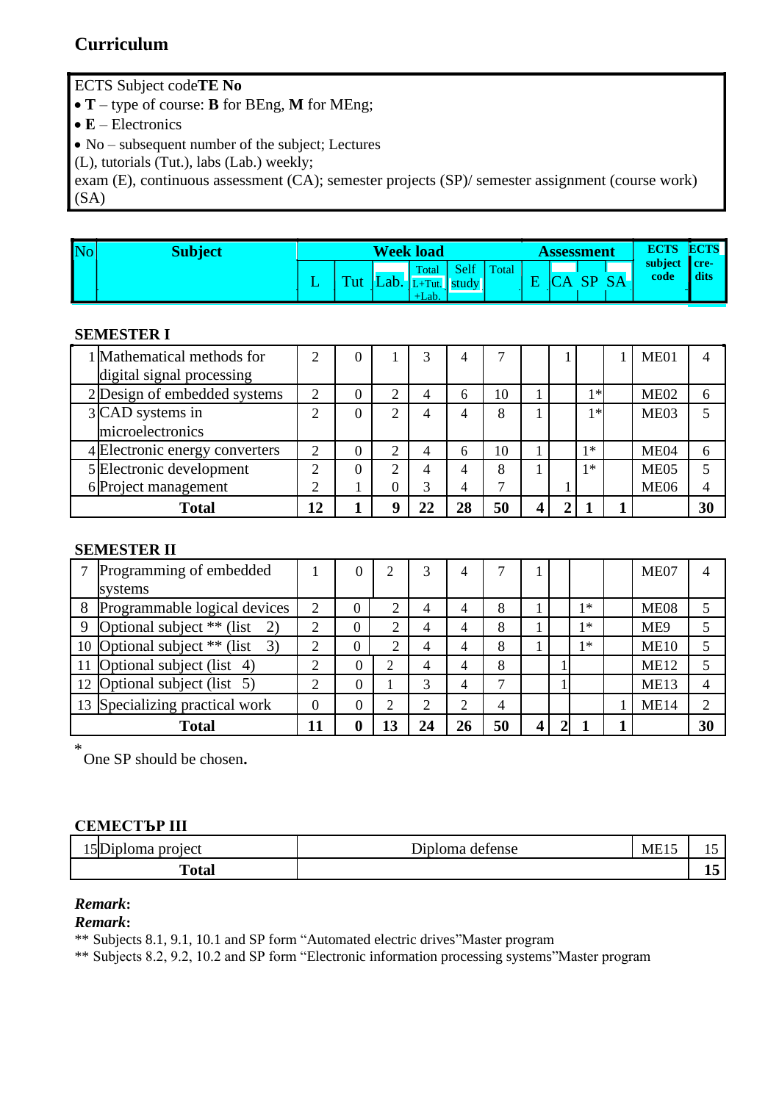# **Curriculum**

ECTS Subject code**TE No**

• **T** – type of course: **B** for BEng, **M** for MEng;

• **E** – Electronics

• No – subsequent number of the subject; Lectures

(L), tutorials (Tut.), labs (Lab.) weekly;

exam (E), continuous assessment (CA); semester projects (SP)/ semester assignment (course work) (SA)

| $\overline{\text{No}}$ | <b>Subject</b> |           |                          |      | <b>Week load</b>               |                              |       |  | Assessment | <b>ECTS</b>     | <b>ECTS</b>                               |
|------------------------|----------------|-----------|--------------------------|------|--------------------------------|------------------------------|-------|--|------------|-----------------|-------------------------------------------|
|                        |                | <u>. </u> | <b>The Second Second</b> | Lab. | Total<br>$L+T$ ut.<br>$+$ Lab. | <b>DEIT</b><br>$\vert$ study | Total |  |            | subject<br>code | $\blacksquare$ cre $\blacksquare$<br>dits |

#### **SEMESTER I**

| 1 Mathematical methods for     |    |  |   |    |    |  |       | ME01             |                          |
|--------------------------------|----|--|---|----|----|--|-------|------------------|--------------------------|
| digital signal processing      |    |  |   |    |    |  |       |                  |                          |
| 2 Design of embedded systems   | ↑  |  | 4 | h  | 10 |  | $1 *$ | ME <sub>02</sub> | 6                        |
| 3 CAD systems in               |    |  |   |    | 8  |  | $1 *$ | ME <sub>03</sub> |                          |
| microelectronics               |    |  |   |    |    |  |       |                  |                          |
| 4 Electronic energy converters |    |  |   | h  | 10 |  | $1*$  | ME <sub>04</sub> | 6                        |
| 5 Electronic development       | ◠  |  |   |    | 8  |  | $1*$  | ME <sub>05</sub> | $\overline{\phantom{0}}$ |
| 6 Project management           |    |  |   |    |    |  |       | <b>ME06</b>      |                          |
| Total                          | 12 |  |   | 28 | 50 |  |       |                  | 30                       |

#### **SEMESTER II**

|             | Programming of embedded         |    |          |                | 3              |    |    |  |      | ME <sub>07</sub> | 4              |
|-------------|---------------------------------|----|----------|----------------|----------------|----|----|--|------|------------------|----------------|
|             | systems                         |    |          |                |                |    |    |  |      |                  |                |
| 8           | Programmable logical devices    | 2  | $\theta$ |                | $\overline{4}$ |    | 8  |  | $1*$ | ME <sub>08</sub> |                |
| $\mathbf Q$ | Optional subject $**$ (list 2)  |    | $\theta$ |                | 4              |    | 8  |  | $1*$ | ME9              |                |
|             | 10 Optional subject ** (list 3) |    | $\theta$ |                | $\overline{4}$ |    | 8  |  | $1*$ | <b>ME10</b>      |                |
|             | 11 Optional subject (list 4)    |    |          |                | 4              | 4  | 8  |  |      | <b>ME12</b>      |                |
|             | 12 Optional subject (list 5)    |    |          |                | 3              | 4  |    |  |      | ME13             | $\overline{4}$ |
|             | 13 Specializing practical work  |    |          | $\overline{2}$ | $\overline{2}$ |    | 4  |  |      | <b>ME14</b>      | $\overline{2}$ |
|             | Total                           | 11 |          | 13             | 24             | 26 | 50 |  |      |                  | 30             |

\* One SP should be chosen**.**

## **СЕМЕСТЪР III**

| $\blacksquare$<br>project<br>uploma<br>וור | )¤nl∩ma<br>defense | <b>ME15</b> | . L . J |
|--------------------------------------------|--------------------|-------------|---------|
| m<br>'otal<br>.                            |                    |             | -       |

### *Remark***:**

*Remark***:**

\*\* Subjects 8.1, 9.1, 10.1 and SP form "Automated electric drives"Master program

\*\* Subjects 8.2, 9.2, 10.2 and SP form "Electronic information processing systems"Master program